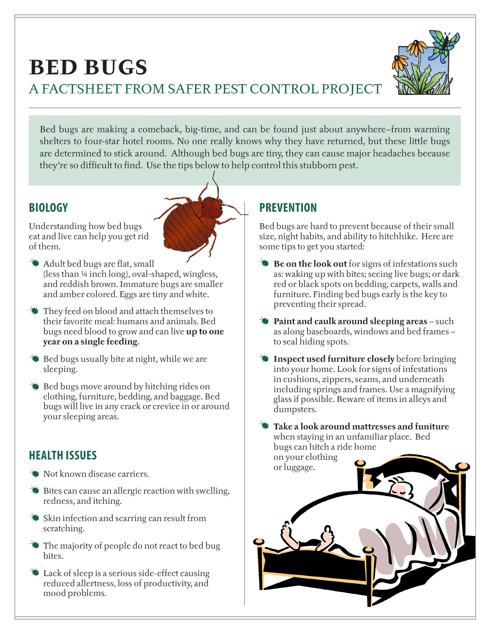



Bed bugs are making a comeback, big-time, and can be found just about anywhere–from warming shelters to four-star hotel rooms. No one really knows why they have returned, but these little bugs are determined to stick around. Although bed bugs are tiny, they can cause major headaches because they're so difficult to find. Use the tips below to help control this stubborn pest.

## **BIOLOGY**

Understanding how bed bugs eat and live can help you get rid of them.



- They feed on blood and attach themselves to their favorite meal: humans and animals. Bed bugs need blood to grow and can live **up to one year on a single feeding.**
- $\blacktriangleright$  Bed bugs usually bite at night, while we are sleeping.
- Bed bugs move around by hitching rides on clothing, furniture, bedding, and baggage. Bed bugs will live in any crack or crevice in or around your sleeping areas.

## **HEALTH ISSUES**

- Not known disease carriers.
- **Bites can cause an allergic reaction with swelling,** redness, and itching.
- Skin infection and scarring can result from scratching.
- The majority of people do not react to bed bug bites.
- Lack of sleep is a serious side-effect causing reduced allertness, loss of productivity, and mood problems.

## **PREVENTION**

Bed bugs are hard to prevent because of their small size, night habits, and ability to hitchhike. Here are some tips to get you started:

- **Be on the look out** for signs of infestations such as: waking up with bites; seeing live bugs; or dark red or black spots on bedding, carpets, walls and furniture. Finding bed bugs early is the key to preventing their spread.
- **Paint and caulk around sleeping areas** such as along baseboards, windows and bed frames – to seal hiding spots.
- **Inspect used furniture closely** before bringing into your home. Look for signs of infestations in cushions, zippers, seams, and underneath including springs and frames. Use a magnifying glass if possible. Beware of items in alleys and dumpsters.

**Take a look around mattresses and funiture** when staying in an unfamiliar place. Bed bugs can hitch a ride home on your clothing or luggage.